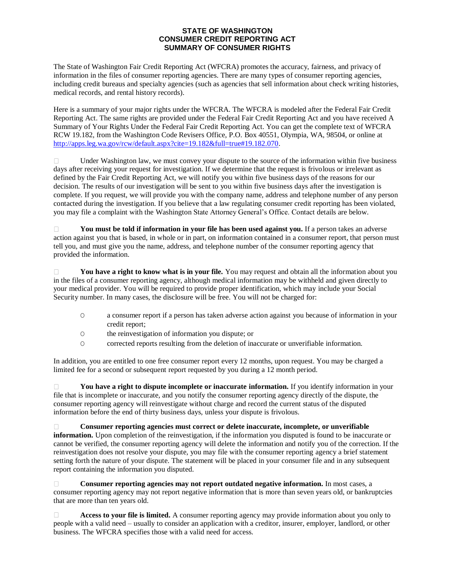## **STATE OF WASHINGTON CONSUMER CREDIT REPORTING ACT SUMMARY OF CONSUMER RIGHTS**

The State of Washington Fair Credit Reporting Act (WFCRA) promotes the accuracy, fairness, and privacy of information in the files of consumer reporting agencies. There are many types of consumer reporting agencies, including credit bureaus and specialty agencies (such as agencies that sell information about check writing histories, medical records, and rental history records).

Here is a summary of your major rights under the WFCRA. The WFCRA is modeled after the Federal Fair Credit Reporting Act. The same rights are provided under the Federal Fair Credit Reporting Act and you have received A Summary of Your Rights Under the Federal Fair Credit Reporting Act. You can get the complete text of WFCRA RCW 19.182, from the Washington Code Revisers Office, P.O. Box 40551, Olympia, WA, 98504, or online at http://apps.leg.wa.gov/rcw/default.aspx?cite=19.182&full=true#19.182.070.

Under Washington law, we must convey your dispute to the source of the information within five business  $\Box$ days after receiving your request for investigation. If we determine that the request is frivolous or irrelevant as defined by the Fair Credit Reporting Act, we will notify you within five business days of the reasons for our decision. The results of our investigation will be sent to you within five business days after the investigation is complete. If you request, we will provide you with the company name, address and telephone number of any person contacted during the investigation. If you believe that a law regulating consumer credit reporting has been violated, you may file a complaint with the Washington State Attorney General's Office. Contact details are below.

**You must be told if information in your file has been used against you.** If a person takes an adverse  $\Box$ action against you that is based, in whole or in part, on information contained in a consumer report, that person must tell you, and must give you the name, address, and telephone number of the consumer reporting agency that provided the information.

 $\Box$ **You have a right to know what is in your file.** You may request and obtain all the information about you in the files of a consumer reporting agency, although medical information may be withheld and given directly to your medical provider. You will be required to provide proper identification, which may include your Social Security number. In many cases, the disclosure will be free. You will not be charged for:

- O a consumer report if a person has taken adverse action against you because of information in your credit report;
- O the reinvestigation of information you dispute; or
- O corrected reports resulting from the deletion of inaccurate or unverifiable information.

In addition, you are entitled to one free consumer report every 12 months, upon request. You may be charged a limited fee for a second or subsequent report requested by you during a 12 month period.

**You have a right to dispute incomplete or inaccurate information.** If you identify information in your  $\Box$ file that is incomplete or inaccurate, and you notify the consumer reporting agency directly of the dispute, the consumer reporting agency will reinvestigate without charge and record the current status of the disputed information before the end of thirty business days, unless your dispute is frivolous.

**Consumer reporting agencies must correct or delete inaccurate, incomplete, or unverifiable**   $\Box$ **information.** Upon completion of the reinvestigation, if the information you disputed is found to be inaccurate or cannot be verified, the consumer reporting agency will delete the information and notify you of the correction. If the reinvestigation does not resolve your dispute, you may file with the consumer reporting agency a brief statement setting forth the nature of your dispute. The statement will be placed in your consumer file and in any subsequent report containing the information you disputed.

**Consumer reporting agencies may not report outdated negative information.** In most cases, a П. consumer reporting agency may not report negative information that is more than seven years old, or bankruptcies that are more than ten years old.

**Access to your file is limited.** A consumer reporting agency may provide information about you only to  $\Box$ people with a valid need – usually to consider an application with a creditor, insurer, employer, landlord, or other business. The WFCRA specifies those with a valid need for access.